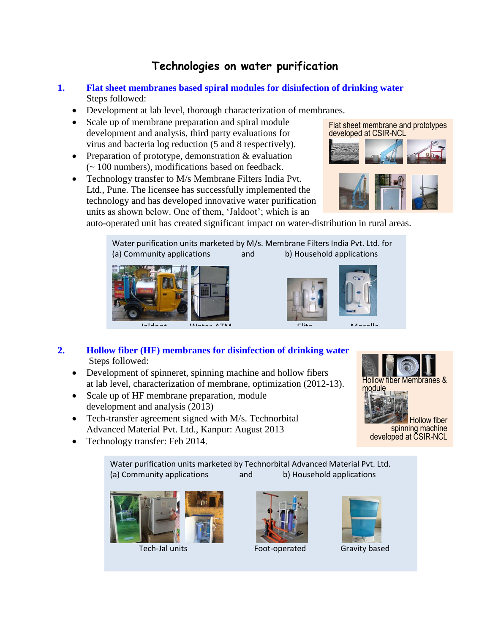## **Technologies on water purification**

- **1. Flat sheet membranes based spiral modules for disinfection of drinking water** Steps followed:
	- Development at lab level, thorough characterization of membranes.
	- Scale up of membrane preparation and spiral module development and analysis, third party evaluations for virus and bacteria log reduction (5 and 8 respectively).
	- Preparation of prototype, demonstration & evaluation (~ 100 numbers), modifications based on feedback.
	- Technology transfer to M/s Membrane Filters India Pvt. Ltd., Pune. The licensee has successfully implemented the technology and has developed innovative water purification units as shown below. One of them, 'Jaldoot'; which is an



auto-operated unit has created significant impact on water-distribution in rural areas.

Water purification units marketed by M/s. Membrane Filters India Pvt. Ltd. for (a) Community applications and b) Household applications Jaldoot Water-ATM Elite Moselle

- **2. Hollow fiber (HF) membranes for disinfection of drinking water** Steps followed:
	- Development of spinneret, spinning machine and hollow fibers at lab level, characterization of membrane, optimization (2012-13).
	- Scale up of HF membrane preparation, module development and analysis (2013)
	- Tech-transfer agreement signed with M/s. Technorbital Advanced Material Pvt. Ltd., Kanpur: August 2013
	- Technology transfer: Feb 2014.

 Hollow fiber Membranes & module Hollow fiber spinning machine developed at CSIR-NCL

Water purification units marketed by Technorbital Advanced Material Pvt. Ltd. (a) Community applications and b) Household applications





Tech-Jal units Foot-operated Gravity based